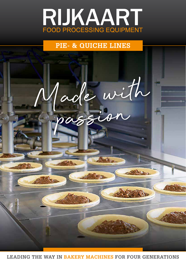

## **PIE- & QUICHE LINES**



**LEADING THE WAY IN BAKERY MACHINES FOR FOUR GENERATIONS**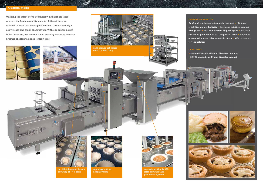**Utilizing the latest Servo Technology, Rijkaart pie lines produce the highest quality pies. All Rijkaart lines are tailored to meet customer specifications. Our chain design allows easy and quick changeovers. With our unique dough billet depositor, we can realize an amazing accuracy. We also produce sheeted pie lines for fruit pies.**





## **FEATURES & BENEFITS**

**Quick and continuous return on investment • Ultimate reliability and productivity • Quick and intuitive product change-over • Fast and efficient hygiene cycles • Versatile system for production of ALL shapes and sizes • Simple to operate with menu driven control system • Able to connect** 

**to your network**

## **CAPACITIES**

- 
- 

**• 5,200 pieces/hour (250 mm diameter product) • 20,000 pieces/hour (80 mm diameter product)**











**our bilet depositor has an accuracy of +/- 1 gram**



**scrapless bottom dough system**



**servo depositing is 30% more accurate than pneumatic systems**